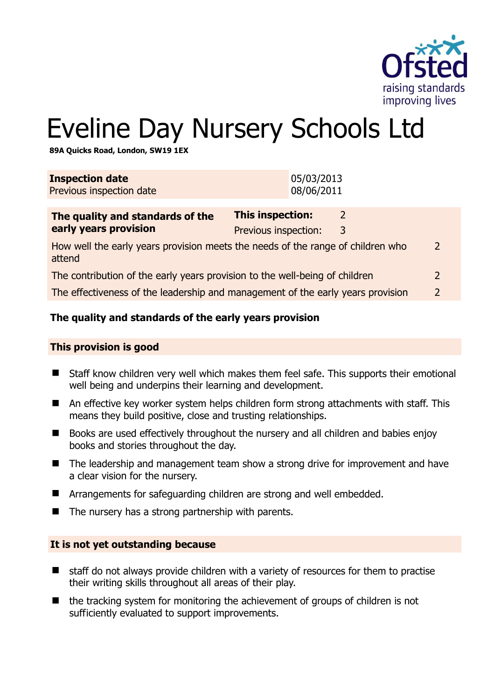

# Eveline Day Nursery Schools Ltd

**89A Quicks Road, London, SW19 1EX** 

| <b>Inspection date</b><br>Previous inspection date                                               | 05/03/2013<br>08/06/2011                                       |  |
|--------------------------------------------------------------------------------------------------|----------------------------------------------------------------|--|
| The quality and standards of the<br>early years provision                                        | This inspection:<br>$\mathcal{L}$<br>Previous inspection:<br>3 |  |
| How well the early years provision meets the needs of the range of children who<br>2<br>attend   |                                                                |  |
| The contribution of the early years provision to the well-being of children                      |                                                                |  |
| The effectiveness of the leadership and management of the early years provision<br>$\mathcal{L}$ |                                                                |  |
|                                                                                                  |                                                                |  |

#### **The quality and standards of the early years provision**

#### **This provision is good**

- Staff know children very well which makes them feel safe. This supports their emotional well being and underpins their learning and development.
- An effective key worker system helps children form strong attachments with staff. This means they build positive, close and trusting relationships.
- Books are used effectively throughout the nursery and all children and babies enjoy books and stories throughout the day.
- The leadership and management team show a strong drive for improvement and have a clear vision for the nursery.
- Arrangements for safeguarding children are strong and well embedded.
- $\blacksquare$  The nursery has a strong partnership with parents.

#### **It is not yet outstanding because**

- $\blacksquare$  staff do not always provide children with a variety of resources for them to practise their writing skills throughout all areas of their play.
- $\blacksquare$  the tracking system for monitoring the achievement of groups of children is not sufficiently evaluated to support improvements.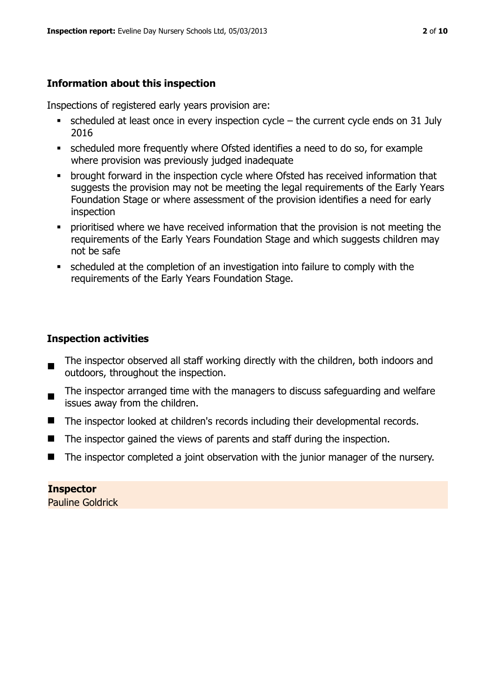# **Information about this inspection**

Inspections of registered early years provision are:

- scheduled at least once in every inspection cycle the current cycle ends on 31 July 2016
- scheduled more frequently where Ofsted identifies a need to do so, for example where provision was previously judged inadequate
- **•** brought forward in the inspection cycle where Ofsted has received information that suggests the provision may not be meeting the legal requirements of the Early Years Foundation Stage or where assessment of the provision identifies a need for early inspection
- **•** prioritised where we have received information that the provision is not meeting the requirements of the Early Years Foundation Stage and which suggests children may not be safe
- scheduled at the completion of an investigation into failure to comply with the requirements of the Early Years Foundation Stage.

# **Inspection activities**

- The inspector observed all staff working directly with the children, both indoors and outdoors, throughout the inspection.
- The inspector arranged time with the managers to discuss safeguarding and welfare issues away from the children.
- The inspector looked at children's records including their developmental records.
- The inspector gained the views of parents and staff during the inspection.
- The inspector completed a joint observation with the junior manager of the nursery.

# **Inspector**

Pauline Goldrick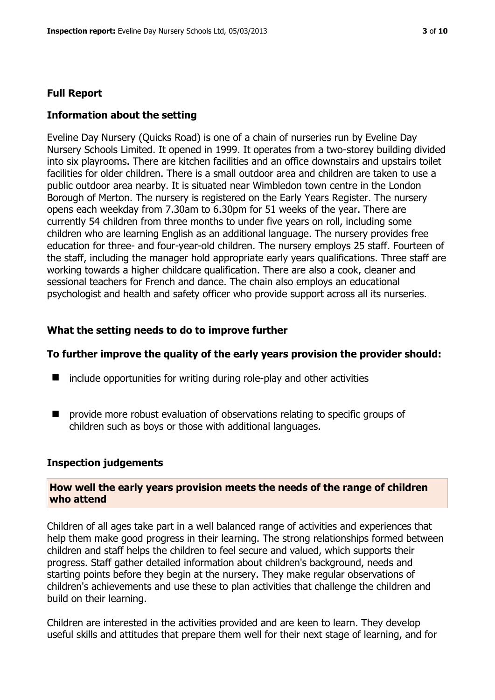#### **Full Report**

#### **Information about the setting**

Eveline Day Nursery (Quicks Road) is one of a chain of nurseries run by Eveline Day Nursery Schools Limited. It opened in 1999. It operates from a two-storey building divided into six playrooms. There are kitchen facilities and an office downstairs and upstairs toilet facilities for older children. There is a small outdoor area and children are taken to use a public outdoor area nearby. It is situated near Wimbledon town centre in the London Borough of Merton. The nursery is registered on the Early Years Register. The nursery opens each weekday from 7.30am to 6.30pm for 51 weeks of the year. There are currently 54 children from three months to under five years on roll, including some children who are learning English as an additional language. The nursery provides free education for three- and four-year-old children. The nursery employs 25 staff. Fourteen of the staff, including the manager hold appropriate early years qualifications. Three staff are working towards a higher childcare qualification. There are also a cook, cleaner and sessional teachers for French and dance. The chain also employs an educational psychologist and health and safety officer who provide support across all its nurseries.

#### **What the setting needs to do to improve further**

#### **To further improve the quality of the early years provision the provider should:**

- $\blacksquare$  include opportunities for writing during role-play and other activities
- **P** provide more robust evaluation of observations relating to specific groups of children such as boys or those with additional languages.

#### **Inspection judgements**

#### **How well the early years provision meets the needs of the range of children who attend**

Children of all ages take part in a well balanced range of activities and experiences that help them make good progress in their learning. The strong relationships formed between children and staff helps the children to feel secure and valued, which supports their progress. Staff gather detailed information about children's background, needs and starting points before they begin at the nursery. They make regular observations of children's achievements and use these to plan activities that challenge the children and build on their learning.

Children are interested in the activities provided and are keen to learn. They develop useful skills and attitudes that prepare them well for their next stage of learning, and for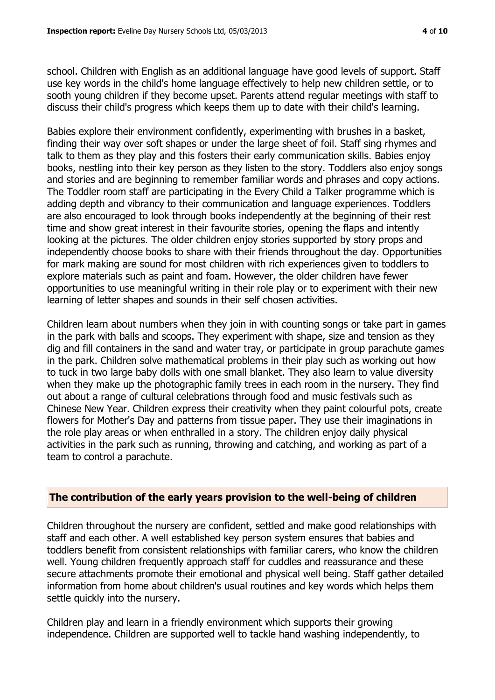school. Children with English as an additional language have good levels of support. Staff use key words in the child's home language effectively to help new children settle, or to sooth young children if they become upset. Parents attend regular meetings with staff to discuss their child's progress which keeps them up to date with their child's learning.

Babies explore their environment confidently, experimenting with brushes in a basket, finding their way over soft shapes or under the large sheet of foil. Staff sing rhymes and talk to them as they play and this fosters their early communication skills. Babies enjoy books, nestling into their key person as they listen to the story. Toddlers also enjoy songs and stories and are beginning to remember familiar words and phrases and copy actions. The Toddler room staff are participating in the Every Child a Talker programme which is adding depth and vibrancy to their communication and language experiences. Toddlers are also encouraged to look through books independently at the beginning of their rest time and show great interest in their favourite stories, opening the flaps and intently looking at the pictures. The older children enjoy stories supported by story props and independently choose books to share with their friends throughout the day. Opportunities for mark making are sound for most children with rich experiences given to toddlers to explore materials such as paint and foam. However, the older children have fewer opportunities to use meaningful writing in their role play or to experiment with their new learning of letter shapes and sounds in their self chosen activities.

Children learn about numbers when they join in with counting songs or take part in games in the park with balls and scoops. They experiment with shape, size and tension as they dig and fill containers in the sand and water tray, or participate in group parachute games in the park. Children solve mathematical problems in their play such as working out how to tuck in two large baby dolls with one small blanket. They also learn to value diversity when they make up the photographic family trees in each room in the nursery. They find out about a range of cultural celebrations through food and music festivals such as Chinese New Year. Children express their creativity when they paint colourful pots, create flowers for Mother's Day and patterns from tissue paper. They use their imaginations in the role play areas or when enthralled in a story. The children enjoy daily physical activities in the park such as running, throwing and catching, and working as part of a team to control a parachute.

# **The contribution of the early years provision to the well-being of children**

Children throughout the nursery are confident, settled and make good relationships with staff and each other. A well established key person system ensures that babies and toddlers benefit from consistent relationships with familiar carers, who know the children well. Young children frequently approach staff for cuddles and reassurance and these secure attachments promote their emotional and physical well being. Staff gather detailed information from home about children's usual routines and key words which helps them settle quickly into the nursery.

Children play and learn in a friendly environment which supports their growing independence. Children are supported well to tackle hand washing independently, to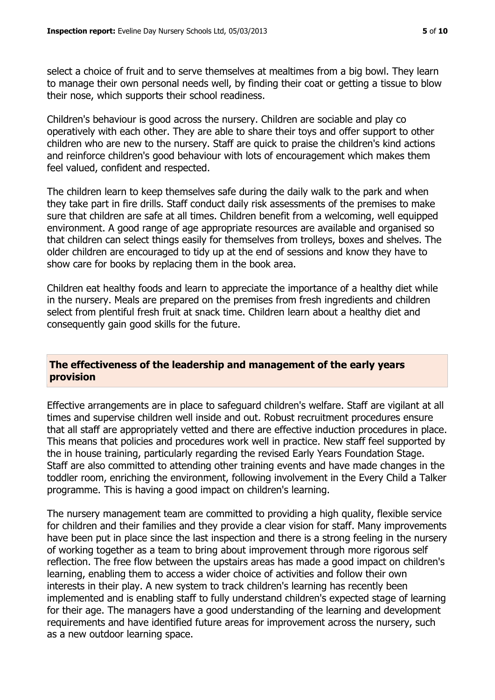select a choice of fruit and to serve themselves at mealtimes from a big bowl. They learn to manage their own personal needs well, by finding their coat or getting a tissue to blow their nose, which supports their school readiness.

Children's behaviour is good across the nursery. Children are sociable and play co operatively with each other. They are able to share their toys and offer support to other children who are new to the nursery. Staff are quick to praise the children's kind actions and reinforce children's good behaviour with lots of encouragement which makes them feel valued, confident and respected.

The children learn to keep themselves safe during the daily walk to the park and when they take part in fire drills. Staff conduct daily risk assessments of the premises to make sure that children are safe at all times. Children benefit from a welcoming, well equipped environment. A good range of age appropriate resources are available and organised so that children can select things easily for themselves from trolleys, boxes and shelves. The older children are encouraged to tidy up at the end of sessions and know they have to show care for books by replacing them in the book area.

Children eat healthy foods and learn to appreciate the importance of a healthy diet while in the nursery. Meals are prepared on the premises from fresh ingredients and children select from plentiful fresh fruit at snack time. Children learn about a healthy diet and consequently gain good skills for the future.

#### **The effectiveness of the leadership and management of the early years provision**

Effective arrangements are in place to safeguard children's welfare. Staff are vigilant at all times and supervise children well inside and out. Robust recruitment procedures ensure that all staff are appropriately vetted and there are effective induction procedures in place. This means that policies and procedures work well in practice. New staff feel supported by the in house training, particularly regarding the revised Early Years Foundation Stage. Staff are also committed to attending other training events and have made changes in the toddler room, enriching the environment, following involvement in the Every Child a Talker programme. This is having a good impact on children's learning.

The nursery management team are committed to providing a high quality, flexible service for children and their families and they provide a clear vision for staff. Many improvements have been put in place since the last inspection and there is a strong feeling in the nursery of working together as a team to bring about improvement through more rigorous self reflection. The free flow between the upstairs areas has made a good impact on children's learning, enabling them to access a wider choice of activities and follow their own interests in their play. A new system to track children's learning has recently been implemented and is enabling staff to fully understand children's expected stage of learning for their age. The managers have a good understanding of the learning and development requirements and have identified future areas for improvement across the nursery, such as a new outdoor learning space.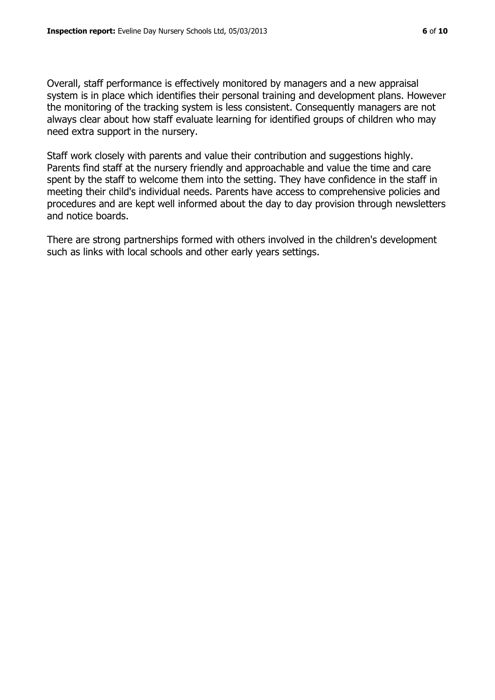Overall, staff performance is effectively monitored by managers and a new appraisal system is in place which identifies their personal training and development plans. However the monitoring of the tracking system is less consistent. Consequently managers are not always clear about how staff evaluate learning for identified groups of children who may need extra support in the nursery.

Staff work closely with parents and value their contribution and suggestions highly. Parents find staff at the nursery friendly and approachable and value the time and care spent by the staff to welcome them into the setting. They have confidence in the staff in meeting their child's individual needs. Parents have access to comprehensive policies and procedures and are kept well informed about the day to day provision through newsletters and notice boards.

There are strong partnerships formed with others involved in the children's development such as links with local schools and other early years settings.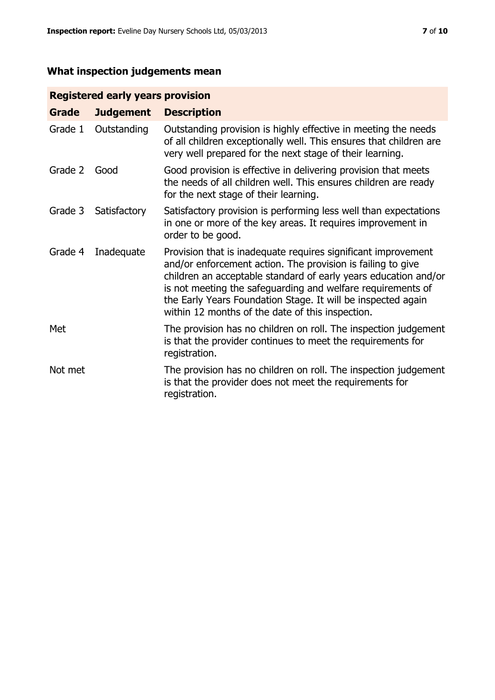# **What inspection judgements mean**

# **Registered early years provision**

| Grade   | <b>Judgement</b> | <b>Description</b>                                                                                                                                                                                                                                                                                                                                                                 |
|---------|------------------|------------------------------------------------------------------------------------------------------------------------------------------------------------------------------------------------------------------------------------------------------------------------------------------------------------------------------------------------------------------------------------|
| Grade 1 | Outstanding      | Outstanding provision is highly effective in meeting the needs<br>of all children exceptionally well. This ensures that children are<br>very well prepared for the next stage of their learning.                                                                                                                                                                                   |
| Grade 2 | Good             | Good provision is effective in delivering provision that meets<br>the needs of all children well. This ensures children are ready<br>for the next stage of their learning.                                                                                                                                                                                                         |
| Grade 3 | Satisfactory     | Satisfactory provision is performing less well than expectations<br>in one or more of the key areas. It requires improvement in<br>order to be good.                                                                                                                                                                                                                               |
| Grade 4 | Inadequate       | Provision that is inadequate requires significant improvement<br>and/or enforcement action. The provision is failing to give<br>children an acceptable standard of early years education and/or<br>is not meeting the safeguarding and welfare requirements of<br>the Early Years Foundation Stage. It will be inspected again<br>within 12 months of the date of this inspection. |
| Met     |                  | The provision has no children on roll. The inspection judgement<br>is that the provider continues to meet the requirements for<br>registration.                                                                                                                                                                                                                                    |
| Not met |                  | The provision has no children on roll. The inspection judgement<br>is that the provider does not meet the requirements for<br>registration.                                                                                                                                                                                                                                        |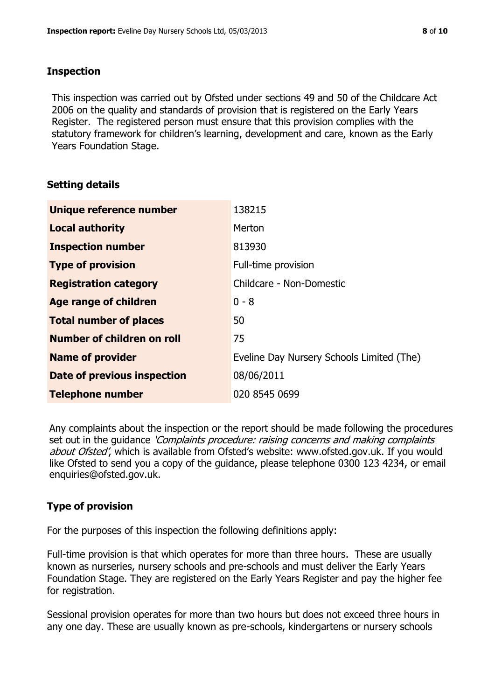#### **Inspection**

This inspection was carried out by Ofsted under sections 49 and 50 of the Childcare Act 2006 on the quality and standards of provision that is registered on the Early Years Register. The registered person must ensure that this provision complies with the statutory framework for children's learning, development and care, known as the Early Years Foundation Stage.

# **Setting details**

| Unique reference number       | 138215                                    |
|-------------------------------|-------------------------------------------|
| <b>Local authority</b>        | Merton                                    |
| <b>Inspection number</b>      | 813930                                    |
| <b>Type of provision</b>      | Full-time provision                       |
| <b>Registration category</b>  | Childcare - Non-Domestic                  |
| Age range of children         | $0 - 8$                                   |
| <b>Total number of places</b> | 50                                        |
| Number of children on roll    | 75                                        |
| <b>Name of provider</b>       | Eveline Day Nursery Schools Limited (The) |
| Date of previous inspection   | 08/06/2011                                |
| <b>Telephone number</b>       | 020 8545 0699                             |

Any complaints about the inspection or the report should be made following the procedures set out in the guidance *'Complaints procedure: raising concerns and making complaints* about Ofsted', which is available from Ofsted's website: www.ofsted.gov.uk. If you would like Ofsted to send you a copy of the guidance, please telephone 0300 123 4234, or email enquiries@ofsted.gov.uk.

# **Type of provision**

For the purposes of this inspection the following definitions apply:

Full-time provision is that which operates for more than three hours. These are usually known as nurseries, nursery schools and pre-schools and must deliver the Early Years Foundation Stage. They are registered on the Early Years Register and pay the higher fee for registration.

Sessional provision operates for more than two hours but does not exceed three hours in any one day. These are usually known as pre-schools, kindergartens or nursery schools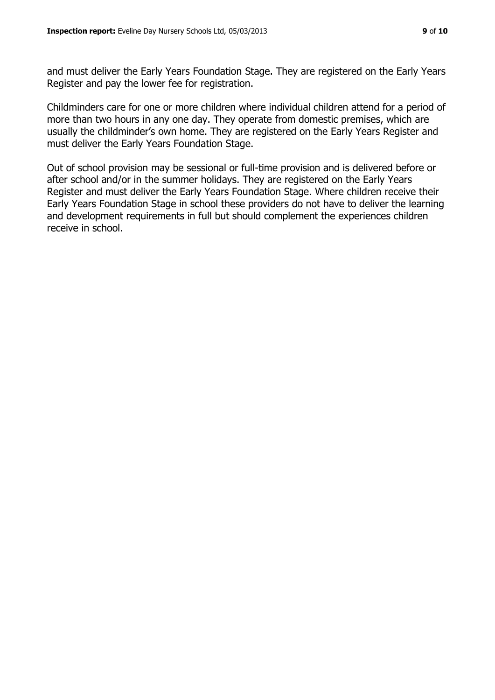and must deliver the Early Years Foundation Stage. They are registered on the Early Years Register and pay the lower fee for registration.

Childminders care for one or more children where individual children attend for a period of more than two hours in any one day. They operate from domestic premises, which are usually the childminder's own home. They are registered on the Early Years Register and must deliver the Early Years Foundation Stage.

Out of school provision may be sessional or full-time provision and is delivered before or after school and/or in the summer holidays. They are registered on the Early Years Register and must deliver the Early Years Foundation Stage. Where children receive their Early Years Foundation Stage in school these providers do not have to deliver the learning and development requirements in full but should complement the experiences children receive in school.